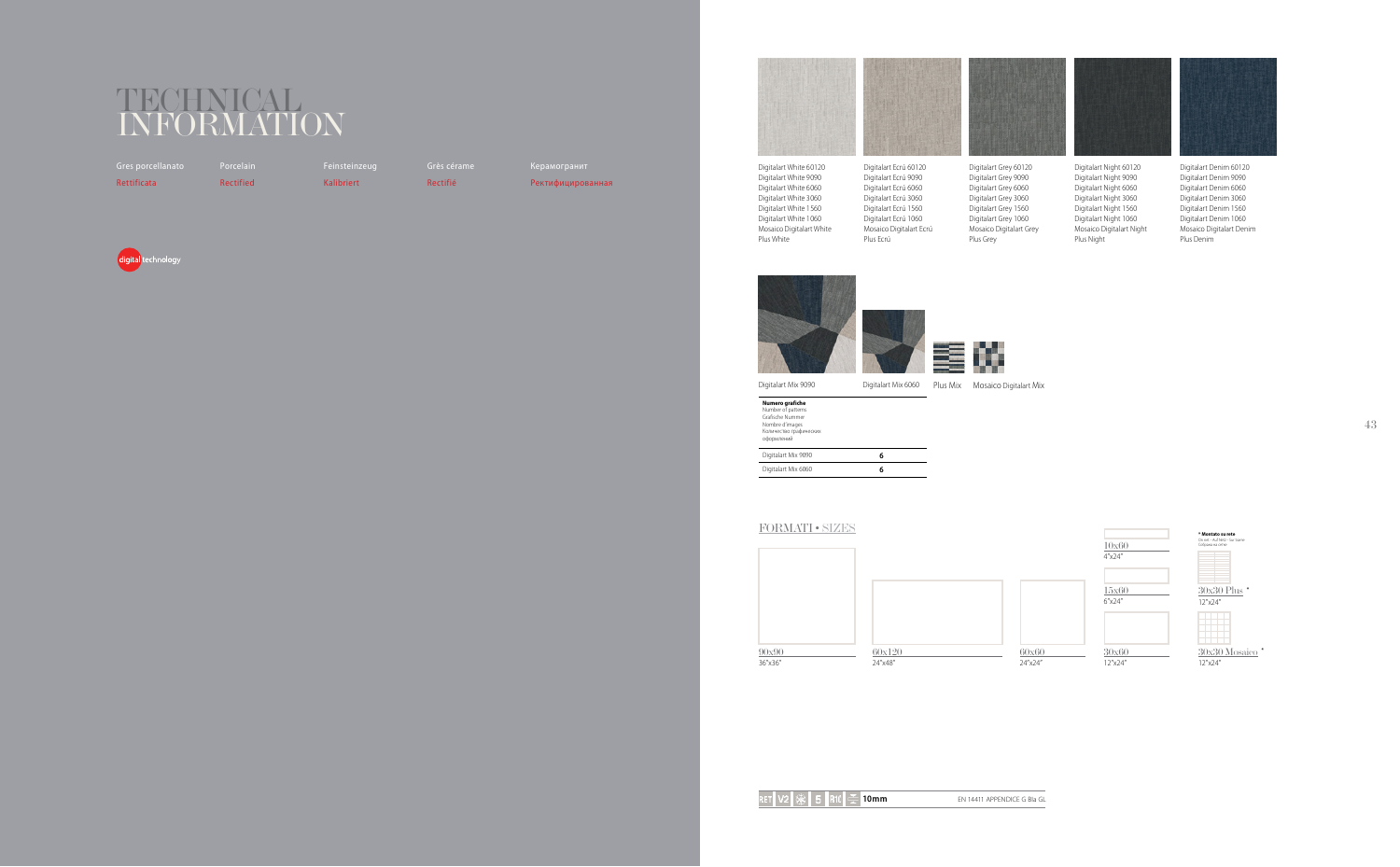## INFORMATION

Gres porcellanato Rettificata

Rectified

Kalibriert

Feinsteinzeug Rectifié

Ректифицированная





Digitalart White 60120 Digitalart White 9090 Digitalart White 6060 Digitalart White 3060 Digitalart White 1560 Digitalart White 1060 Mosaico Digitalart White Plus White

Digitalart Ecrú 60120 Digitalart Ecrú 9090 Digitalart Ecrú 6060 Digitalart Ecrú 3060 Digitalart Ecrú 1560 Digitalart Ecrú 1060 Mosaico Digitalart Ecrú Plus Ecrú





Digitalart Mix 9090

Digitalart Mix 6060 Plus Mix Mosaico Digitalart Mix

| Numero grafiche<br>Number of patterns<br>Grafische Nummer<br>Nombre d'images<br>Количество графических<br>оформлений |   |
|----------------------------------------------------------------------------------------------------------------------|---|
| Digitalart Mix 9090                                                                                                  | 6 |
| Digitalart Mix 6060                                                                                                  | A |

## FORMATI · SIZES









Digitalart Grey 60120 Digitalart Grey 9090 Digitalart Grey 6060 Digitalart Grey 3060 Digitalart Grey 1560 Digitalart Grey 1060 Mosaico Digitalart Grey Plus Grey



Digitalart Night 60120 Digitalart Night 9090 Digitalart Night 6060 Digitalart Night 3060 Digitalart Night 1560 Digitalart Night 1060 Mosaico Digitalart Night Plus Night



Digitalart Denim 60120 Digitalart Denim 9090 Digitalart Denim 6060 Digitalart Denim 3060 Digitalart Denim 1560 Digitalart Denim 1060 Mosaico Digitalart Denim Plus Denim



43





 $10x60$  $4''x24''$ 

 $15x60$  $6''x24''$ 



 $-30x60$  $\frac{12^{n}x^{24^{n}}}{12^{n}x^{24^{n}}}$ 

\* **Montato su rete**<br>On net - Auf Netz - Sur ti<br>Собрана на сетке

 $30x30$  Plus \*

 $\frac{12^{n} \times 24^{n}}{12^{n} \times 24^{n}}$ 



30x30 Mosaico  $12''x24''$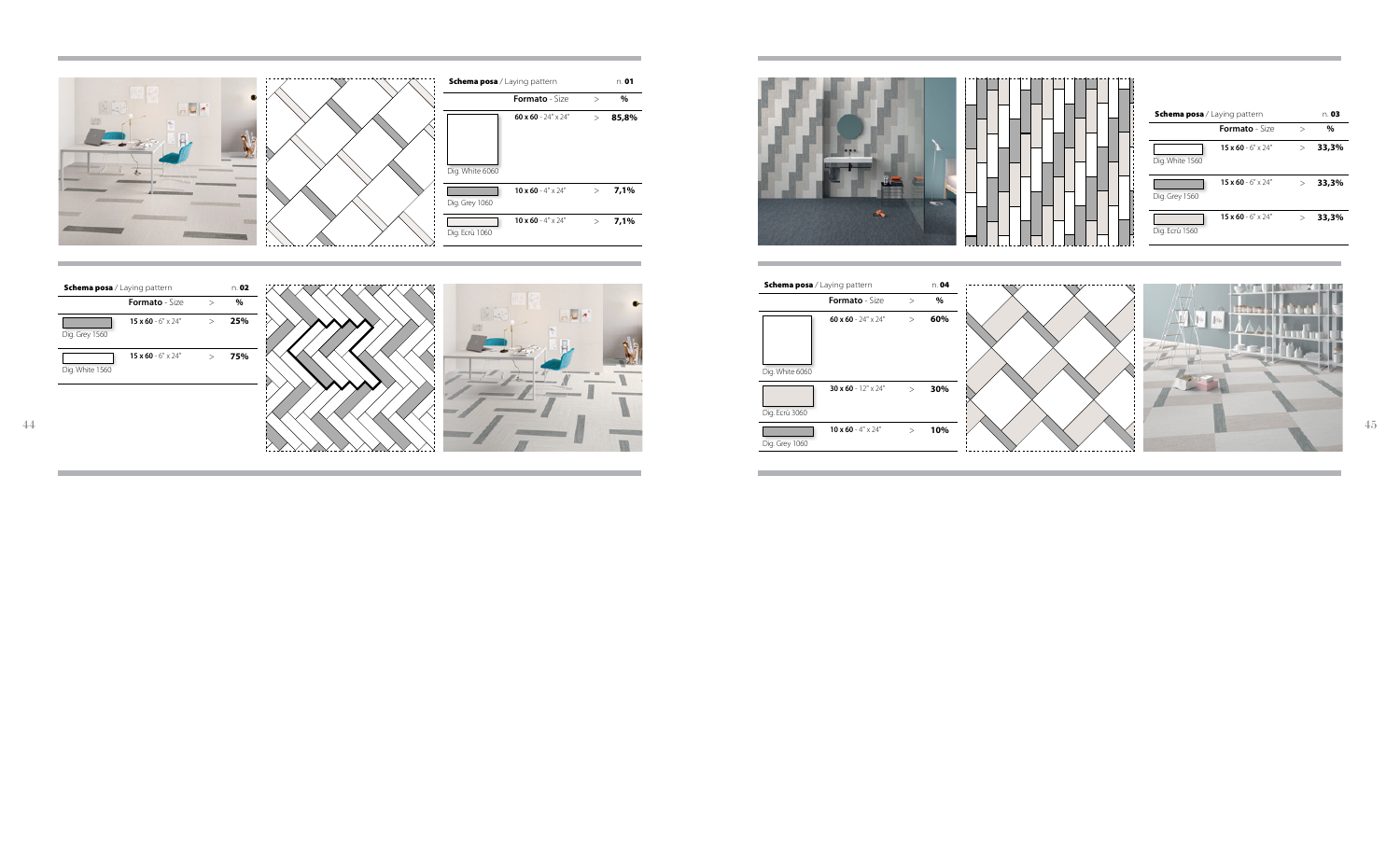

| <b>Schema posa</b> / Laying pattern |                            |  |  |
|-------------------------------------|----------------------------|--|--|
|                                     | <b>Formato</b> - Size      |  |  |
|                                     | 60 x 60 - $24" \times 24"$ |  |  |
| Dig. White 6060                     |                            |  |  |
| Dig. Ecrù 3060                      | 30 x 60 - $12" \times 24"$ |  |  |
| Dig. Grey 1060                      | 10 x 60 - $4" \times 74"$  |  |  |
|                                     |                            |  |  |